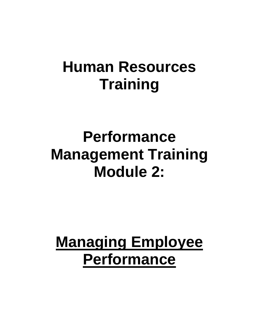# **Human Resources Training**

# **Performance Management Training Module 2:**

# **Managing Employee Performance**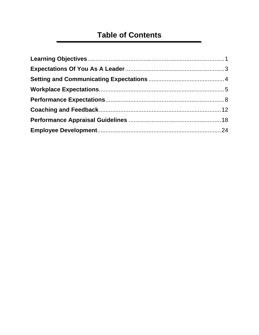# **Table of Contents**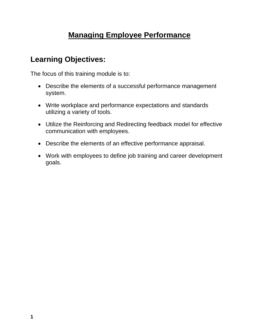# **Managing Employee Performance**

## <span id="page-3-0"></span>**Learning Objectives:**

The focus of this training module is to:

- Describe the elements of a successful performance management system.
- Write workplace and performance expectations and standards utilizing a variety of tools.
- Utilize the Reinforcing and Redirecting feedback model for effective communication with employees.
- Describe the elements of an effective performance appraisal.
- Work with employees to define job training and career development goals.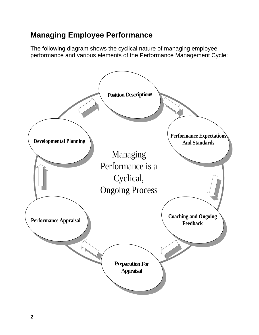# **Managing Employee Performance**

The following diagram shows the cyclical nature of managing employee performance and various elements of the Performance Management Cycle:

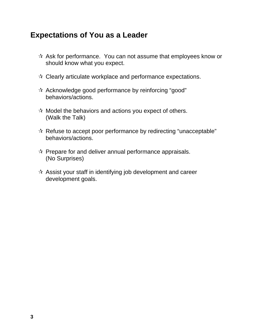## <span id="page-5-0"></span>**Expectations of You as a Leader**

- $\hat{X}$  Ask for performance. You can not assume that employees know or should know what you expect.
- $\mathbf{\hat{x}}$  Clearly articulate workplace and performance expectations.
- $\mathbf{\hat{x}}$  Acknowledge good performance by reinforcing "good" behaviors/actions.
- $\mathcal{A}$  Model the behaviors and actions you expect of others. (Walk the Talk)
- $\mathbf{\hat{x}}$  Refuse to accept poor performance by redirecting "unacceptable" behaviors/actions.
- $\mathcal{R}$  Prepare for and deliver annual performance appraisals. (No Surprises)
- $\mathbf{\hat{x}}$  Assist your staff in identifying job development and career development goals.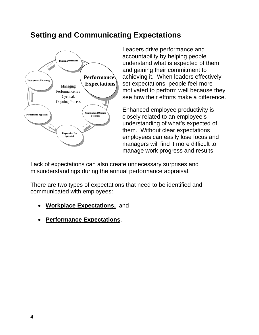## **Setting and Communicating Expectations**

<span id="page-6-0"></span>

Leaders drive performance and accountability by helping people understand what is expected of them and gaining their commitment to achieving it. When leaders effectively set expectations, people feel more motivated to perform well because they see how their efforts make a difference.

Enhanced employee productivity is closely related to an employee's understanding of what's expected of them. Without clear expectations employees can easily lose focus and managers will find it more difficult to manage work progress and results.

Lack of expectations can also create unnecessary surprises and misunderstandings during the annual performance appraisal.

There are two types of expectations that need to be identified and communicated with employees:

- **Workplace Expectations,** and
- **Performance Expectations**.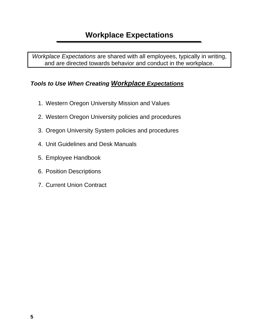<span id="page-7-0"></span>*Workplace Expectations* are shared with all employees, typically in writing, and are directed towards behavior and conduct in the workplace.

#### *Tools to Use When Creating Workplace Expectations*

- 1. Western Oregon University Mission and Values
- 2. Western Oregon University policies and procedures
- 3. Oregon University System policies and procedures
- 4. Unit Guidelines and Desk Manuals
- 5. Employee Handbook
- 6. Position Descriptions
- 7. Current Union Contract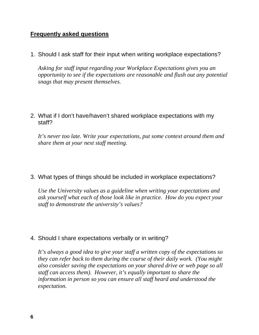#### **Frequently asked questions**

1. Should I ask staff for their input when writing workplace expectations?

*Asking for staff input regarding your Workplace Expectations gives you an opportunity to see if the expectations are reasonable and flush out any potential snags that may present themselves.* 

#### 2. What if I don't have/haven't shared workplace expectations with my staff?

*It's never too late. Write your expectations, put some context around them and share them at your next staff meeting.* 

#### 3. What types of things should be included in workplace expectations?

*Use the University values as a guideline when writing your expectations and ask yourself what each of those look like in practice. How do you expect your staff to demonstrate the university's values?* 

#### 4. Should I share expectations verbally or in writing?

*It's always a good idea to give your staff a written copy of the expectations so they can refer back to them during the course of their daily work. (You might also consider saving the expectations on your shared drive or web page so all staff can access them). However, it's equally important to share the information in person so you can ensure all staff heard and understood the expectation.*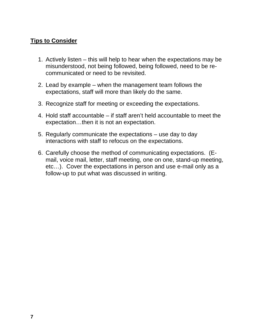#### **Tips to Consider**

- 1. Actively listen this will help to hear when the expectations may be misunderstood, not being followed, being followed, need to be recommunicated or need to be revisited.
- 2. Lead by example when the management team follows the expectations, staff will more than likely do the same.
- 3. Recognize staff for meeting or exceeding the expectations.
- 4. Hold staff accountable if staff aren't held accountable to meet the expectation…then it is not an expectation.
- 5. Regularly communicate the expectations use day to day interactions with staff to refocus on the expectations.
- 6. Carefully choose the method of communicating expectations. (Email, voice mail, letter, staff meeting, one on one, stand-up meeting, etc…). Cover the expectations in person and use e-mail only as a follow-up to put what was discussed in writing.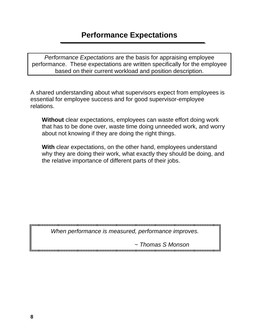<span id="page-10-0"></span>*Performance Expectations* are the basis for appraising employee performance. These expectations are written specifically for the employee based on their current workload and position description.

A shared understanding about what supervisors expect from employees is essential for employee success and for good supervisor-employee relations.

**Without** clear expectations, employees can waste effort doing work that has to be done over, waste time doing unneeded work, and worry about not knowing if they are doing the right things.

**With** clear expectations, on the other hand, employees understand why they are doing their work, what exactly they should be doing, and the relative importance of different parts of their jobs.

*When performance is measured, performance improves.* 

 *~ Thomas S Monson*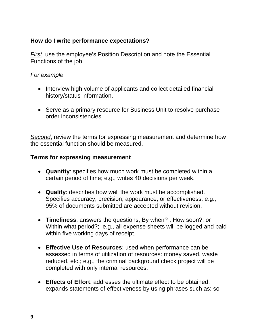#### **How do I write performance expectations?**

*First*, use the employee's Position Description and note the Essential Functions of the job.

#### *For example:*

- Interview high volume of applicants and collect detailed financial history/status information.
- Serve as a primary resource for Business Unit to resolve purchase order inconsistencies.

*Second*, review the terms for expressing measurement and determine how the essential function should be measured.

#### **Terms for expressing measurement**

- **Quantity**: specifies how much work must be completed within a certain period of time; e.g., writes 40 decisions per week.
- **Quality**: describes how well the work must be accomplished. Specifies accuracy, precision, appearance, or effectiveness; e.g., 95% of documents submitted are accepted without revision.
- **Timeliness**: answers the questions, By when? , How soon?, or Within what period?; e.g., all expense sheets will be logged and paid within five working days of receipt.
- **Effective Use of Resources**: used when performance can be assessed in terms of utilization of resources: money saved, waste reduced, etc.; e.g., the criminal background check project will be completed with only internal resources.
- **Effects of Effort**: addresses the ultimate effect to be obtained; expands statements of effectiveness by using phrases such as: so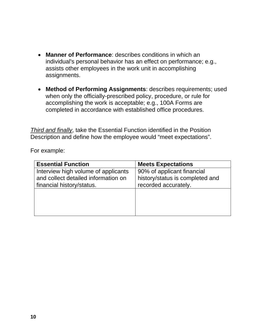- **Manner of Performance**: describes conditions in which an individual's personal behavior has an effect on performance; e.g., assists other employees in the work unit in accomplishing assignments.
- **Method of Performing Assignments**: describes requirements; used when only the officially-prescribed policy, procedure, or rule for accomplishing the work is acceptable; e.g., 100A Forms are completed in accordance with established office procedures.

*Third and finally*, take the Essential Function identified in the Position Description and define how the employee would "meet expectations".

For example:

| <b>Essential Function</b>           | <b>Meets Expectations</b>       |
|-------------------------------------|---------------------------------|
| Interview high volume of applicants | 90% of applicant financial      |
| and collect detailed information on | history/status is completed and |
| financial history/status.           | recorded accurately.            |
|                                     |                                 |
|                                     |                                 |
|                                     |                                 |
|                                     |                                 |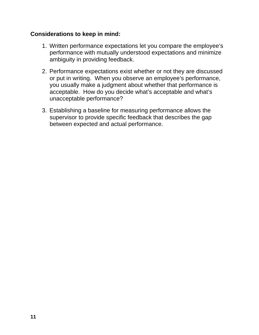#### **Considerations to keep in mind:**

- 1. Written performance expectations let you compare the employee's performance with mutually understood expectations and minimize ambiguity in providing feedback.
- 2. Performance expectations exist whether or not they are discussed or put in writing. When you observe an employee's performance, you usually make a judgment about whether that performance is acceptable. How do you decide what's acceptable and what's unacceptable performance?
- 3. Establishing a baseline for measuring performance allows the supervisor to provide specific feedback that describes the gap between expected and actual performance.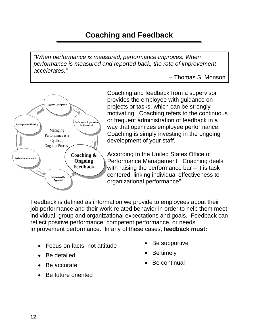# **Coaching and Feedback**

<span id="page-14-0"></span>*"When performance is measured, performance improves. When performance is measured and reported back, the rate of improvement accelerates."* 

– Thomas S. Monson



Coaching and feedback from a supervisor provides the employee with guidance on projects or tasks, which can be strongly motivating. Coaching refers to the continuous or frequent administration of feedback in a way that optimizes employee performance. Coaching is simply investing in the ongoing development of your staff.

According to the United States Office of Performance Management, "Coaching deals with raising the performance bar – it is taskcentered, linking individual effectiveness to organizational performance".

Feedback is defined as information we provide to employees about their job performance and their work-related behavior in order to help them meet individual, group and organizational expectations and goals. Feedback can reflect positive performance, competent performance, or needs improvement performance. In any of these cases, **feedback must:**

- Focus on facts, not attitude
- Be detailed
- Be accurate
- Be future oriented
- Be supportive
- Be timely
- Be continual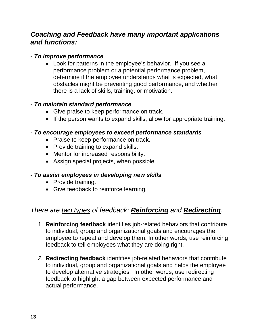### *Coaching and Feedback have many important applications and functions:*

#### *- To improve performance*

 Look for patterns in the employee's behavior. If you see a performance problem or a potential performance problem, determine if the employee understands what is expected, what obstacles might be preventing good performance, and whether there is a lack of skills, training, or motivation.

#### *- To maintain standard performance*

- Give praise to keep performance on track.
- If the person wants to expand skills, allow for appropriate training.

#### *- To encourage employees to exceed performance standards*

- Praise to keep performance on track.
- Provide training to expand skills.
- Mentor for increased responsibility.
- Assign special projects, when possible.

#### *- To assist employees in developing new skills*

- Provide training.
- Give feedback to reinforce learning.

## *There are two types of feedback: Reinforcing and Redirecting.*

- 1. **Reinforcing feedback** identifies job-related behaviors that contribute to individual, group and organizational goals and encourages the employee to repeat and develop them. In other words, use reinforcing feedback to tell employees what they are doing right.
- *2.* **Redirecting feedback** identifies job-related behaviors that contribute to individual, group and organizational goals and helps the employee to develop alternative strategies. In other words, use redirecting feedback to highlight a gap between expected performance and actual performance.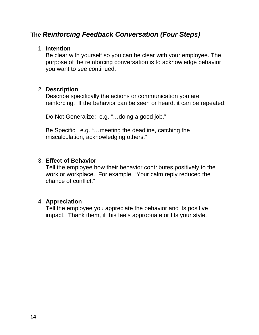### **The** *Reinforcing Feedback Conversation (Four Steps)*

#### 1. **Intention**

Be clear with yourself so you can be clear with your employee. The purpose of the reinforcing conversation is to acknowledge behavior you want to see continued.

#### 2. **Description**

Describe specifically the actions or communication you are reinforcing. If the behavior can be seen or heard, it can be repeated:

Do Not Generalize: e.g. "…doing a good job."

Be Specific: e.g. "…meeting the deadline, catching the miscalculation, acknowledging others."

#### 3. **Effect of Behavior**

Tell the employee how their behavior contributes positively to the work or workplace. For example, "Your calm reply reduced the chance of conflict."

#### 4. **Appreciation**

Tell the employee you appreciate the behavior and its positive impact. Thank them, if this feels appropriate or fits your style.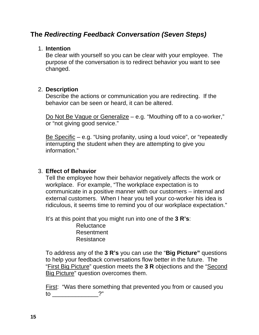### **The** *Redirecting Feedback Conversation (Seven Steps)*

#### 1. **Intention**

Be clear with yourself so you can be clear with your employee. The purpose of the conversation is to redirect behavior you want to see changed.

#### 2. **Description**

Describe the actions or communication you are redirecting. If the behavior can be seen or heard, it can be altered.

Do Not Be Vague or Generalize – e.g. "Mouthing off to a co-worker," or "not giving good service."

Be Specific – e.g. "Using profanity, using a loud voice", or "repeatedly interrupting the student when they are attempting to give you information."

#### 3. **Effect of Behavior**

Tell the employee how their behavior negatively affects the work or workplace. For example, "The workplace expectation is to communicate in a positive manner with our customers – internal and external customers. When I hear you tell your co-worker his idea is ridiculous, it seems time to remind you of our workplace expectation."

It's at this point that you might run into one of the **3 R's**:

**Reluctance** Resentment Resistance

To address any of the **3 R's** you can use the "**Big Picture"** questions to help your feedback conversations flow better in the future. The "First Big Picture" question meets the **3 R** objections and the "Second Big Picture" question overcomes them.

First: "Was there something that prevented you from or caused you to \_\_\_\_\_\_\_\_\_\_\_\_\_\_?"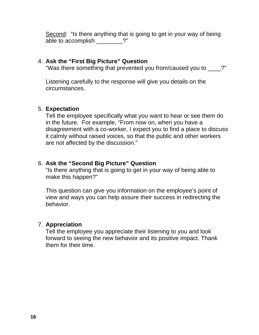Second: "Is there anything that is going to get in your way of being able to accomplish \_\_\_\_\_\_\_\_?"

#### 4. **Ask the "First Big Picture" Question**

"Was there something that prevented you from/caused you to \_\_\_\_?"

Listening carefully to the response will give you details on the circumstances.

#### 5. **Expectation**

Tell the employee specifically what you want to hear or see them do in the future. For example, "From now on, when you have a disagreement with a co-worker, I expect you to find a place to discuss it calmly without raised voices, so that the public and other workers are not affected by the discussion."

#### 6. **Ask the "Second Big Picture" Question**

"Is there anything that is going to get in your way of being able to make this happen?"

This question can give you information on the employee's point of view and ways you can help assure their success in redirecting the behavior.

#### 7. **Appreciation**

Tell the employee you appreciate their listening to you and look forward to seeing the new behavior and its positive impact. Thank them for their time.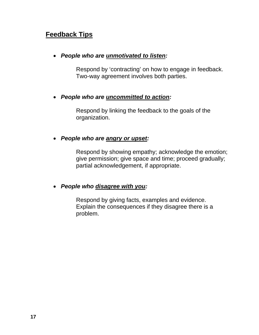## **Feedback Tips**

#### *People who are unmotivated to listen:*

Respond by 'contracting' on how to engage in feedback. Two-way agreement involves both parties.

#### *People who are uncommitted to action:*

Respond by linking the feedback to the goals of the organization.

#### *People who are angry or upset:*

Respond by showing empathy; acknowledge the emotion; give permission; give space and time; proceed gradually; partial acknowledgement, if appropriate.

#### *People who disagree with you:*

Respond by giving facts, examples and evidence. Explain the consequences if they disagree there is a problem.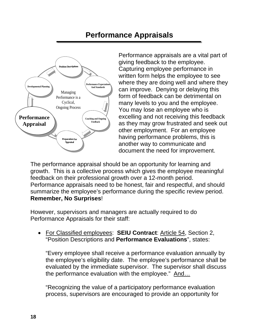# **Performance Appraisals**

<span id="page-20-0"></span>

Performance appraisals are a vital part of giving feedback to the employee. Capturing employee performance in written form helps the employee to see where they are doing well and where they can improve. Denying or delaying this form of feedback can be detrimental on many levels to you and the employee. You may lose an employee who is excelling and not receiving this feedback as they may grow frustrated and seek out other employment. For an employee having performance problems, this is another way to communicate and document the need for improvement.

The performance appraisal should be an opportunity for learning and growth. This is a collective process which gives the employee meaningful feedback on their professional growth over a 12-month period. Performance appraisals need to be honest, fair and respectful, and should summarize the employee's performance during the specific review period. **Remember, No Surprises**!

However, supervisors and managers are actually required to do Performance Appraisals for their staff:

 For Classified employees: **SEIU Contract**: Article 54, Section 2, "Position Descriptions and **Performance Evaluations**", states:

"Every employee shall receive a performance evaluation annually by the employee's eligibility date. The employee's performance shall be evaluated by the immediate supervisor. The supervisor shall discuss the performance evaluation with the employee." And…

"Recognizing the value of a participatory performance evaluation process, supervisors are encouraged to provide an opportunity for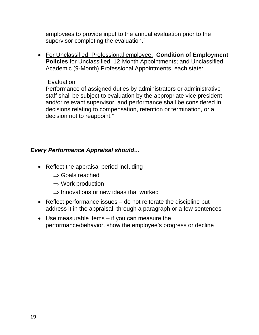employees to provide input to the annual evaluation prior to the supervisor completing the evaluation."

 For Unclassified, Professional employee: **Condition of Employment Policies** for Unclassified, 12-Month Appointments; and Unclassified, Academic (9-Month) Professional Appointments, each state:

#### "Evaluation

Performance of assigned duties by administrators or administrative staff shall be subject to evaluation by the appropriate vice president and/or relevant supervisor, and performance shall be considered in decisions relating to compensation, retention or termination, or a decision not to reappoint."

#### *Every Performance Appraisal should…*

- Reflect the appraisal period including
	- $\Rightarrow$  Goals reached
	- $\Rightarrow$  Work production
	- $\Rightarrow$  Innovations or new ideas that worked
- Reflect performance issues do not reiterate the discipline but address it in the appraisal, through a paragraph or a few sentences
- Use measurable items if you can measure the performance/behavior, show the employee's progress or decline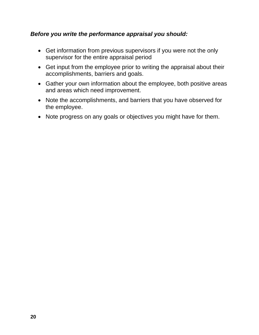#### *Before you write the performance appraisal you should:*

- Get information from previous supervisors if you were not the only supervisor for the entire appraisal period
- Get input from the employee prior to writing the appraisal about their accomplishments, barriers and goals.
- Gather your own information about the employee, both positive areas and areas which need improvement.
- Note the accomplishments, and barriers that you have observed for the employee.
- Note progress on any goals or objectives you might have for them.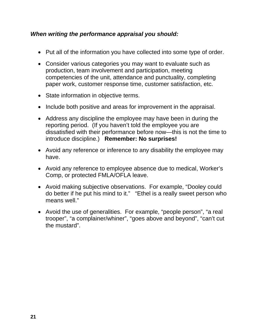#### *When writing the performance appraisal you should:*

- Put all of the information you have collected into some type of order.
- Consider various categories you may want to evaluate such as production, team involvement and participation, meeting competencies of the unit, attendance and punctuality, completing paper work, customer response time, customer satisfaction, etc.
- State information in objective terms.
- Include both positive and areas for improvement in the appraisal.
- Address any discipline the employee may have been in during the reporting period. (If you haven't told the employee you are dissatisfied with their performance before now—this is not the time to introduce discipline.) **Remember: No surprises!**
- Avoid any reference or inference to any disability the employee may have.
- Avoid any reference to employee absence due to medical, Worker's Comp, or protected FMLA/OFLA leave.
- Avoid making subjective observations. For example, "Dooley could do better if he put his mind to it." "Ethel is a really sweet person who means well."
- Avoid the use of generalities. For example, "people person", "a real trooper", "a complainer/whiner", "goes above and beyond", "can't cut the mustard".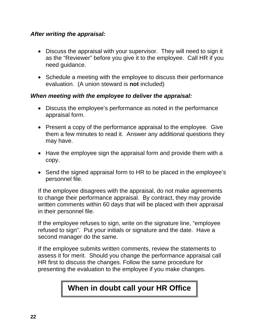#### *After writing the appraisal:*

- Discuss the appraisal with your supervisor. They will need to sign it as the "Reviewer" before you give it to the employee. Call HR if you need guidance.
- Schedule a meeting with the employee to discuss their performance evaluation. (A union steward is **not** included)

#### *When meeting with the employee to deliver the appraisal:*

- Discuss the employee's performance as noted in the performance appraisal form.
- Present a copy of the performance appraisal to the employee. Give them a few minutes to read it. Answer any additional questions they may have.
- Have the employee sign the appraisal form and provide them with a copy.
- Send the signed appraisal form to HR to be placed in the employee's personnel file.

If the employee disagrees with the appraisal, do not make agreements to change their performance appraisal. By contract, they may provide written comments within 60 days that will be placed with their appraisal in their personnel file.

If the employee refuses to sign, write on the signature line, "employee refused to sign". Put your initials or signature and the date. Have a second manager do the same.

If the employee submits written comments, review the statements to assess it for merit. Should you change the performance appraisal call HR first to discuss the changes. Follow the same procedure for presenting the evaluation to the employee if you make changes.

# **When in doubt call your HR Office**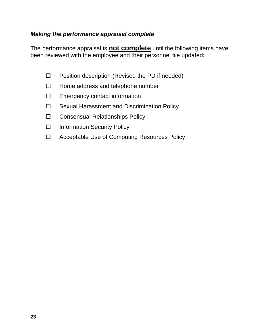#### *Making the performance appraisal complete*

The performance appraisal is **not complete** until the following items have been reviewed with the employee and their personnel file updated**:** 

- $\Box$  Position description (Revised the PD if needed)
- $\Box$  Home address and telephone number
- $\Box$  Emergency contact information
- $\Box$  Sexual Harassment and Discrimination Policy
- □ Consensual Relationships Policy
- □ [Information Security Policy](http://xpedio1.emp.state.or.us/intradoc/groups/policydocs/documents/policy/d7(1).pdf)
- □ Acceptable Use of Computing Resources Policy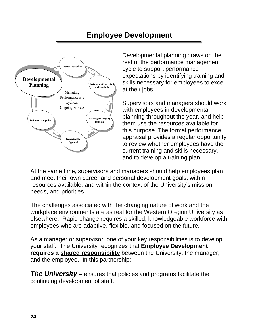# **Employee Development**

<span id="page-26-0"></span>

Developmental planning draws on the rest of the performance management cycle to support performance expectations by identifying training and skills necessary for employees to excel at their jobs.

Supervisors and managers should work with employees in developmental planning throughout the year, and help them use the resources available for this purpose. The formal performan ce appraisal provides a regular opportunity to review whether employees have the current training and skills necessary, and to develop a training plan.

At the same time, supervisors and managers should help employees plan and meet their own career and personal development goals, within resources available, and within the context of the University's mission, needs, and priorities.

The challenges associated with the changing nature of work and the workplace environments are as real for the Western Oregon University as elsewhere. Rapid change requires a skilled, knowledgeable workforce with employees who are adaptive, flexible, and focused on the future.

As a manager or supervisor, one of your key responsibilities is to develop your staff. The University recognizes that **Employee Development requires a shared responsibility** between the University, the manager, and the employee. In this partnership:

*The University* – ensures that policies and programs facilitate the continuing development of staff.